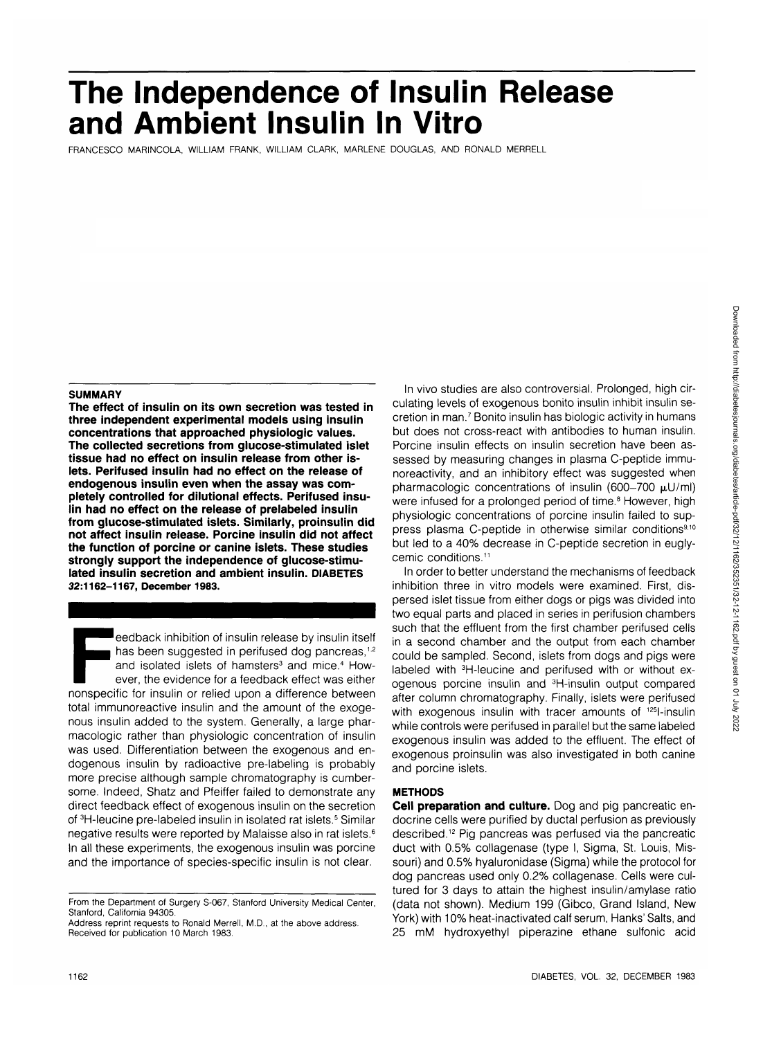# **The Independence of Insulin Release and Ambient Insulin In Vitro**

FRANCESCO MARINCOLA, WILLIAM FRANK, WILLIAM CLARK, MARLENE DOUGLAS, AND RONALD MERRELL

### **SUMMARY**

**The effect of insulin on its own secretion was tested in three independent experimental models using insulin concentrations that approached physiologic values. The collected secretions from glucose-stimulated islet tissue had no effect on insulin release from other islets. Perifused insulin had no effect on the release of endogenous insulin even when the assay was completely controlled for dilutional effects. Perifused insulin had no effect on the release of prelabeled insulin from glucose-stimulated islets. Similarly, proinsulin did not affect insulin release. Porcine insulin did not affect the function of porcine or canine islets. These studies strongly support the independence of glucose-stimulated insulin secretion and ambient insulin. DIABETES 32:1162-1167, December 1983.**

Feedback inhibition of insulin release by insulin itself<br>
has been suggested in perifused dog pancreas,<sup>12</sup><br>
and isolated islets of hamsters<sup>3</sup> and mice.<sup>4</sup> How-<br>
ever, the evidence for a feedback effect was either<br>
nonspe has been suggested in perifused dog pancreas,<sup>1,2</sup> and isolated islets of hamsters<sup>3</sup> and mice.<sup>4</sup> However, the evidence for a feedback effect was either total immunoreactive insulin and the amount of the exogenous insulin added to the system. Generally, a large pharmacologic rather than physiologic concentration of insulin was used. Differentiation between the exogenous and endogenous insulin by radioactive pre-labeling is probably more precise although sample chromatography is cumbersome. Indeed, Shatz and Pfeiffer failed to demonstrate any direct feedback effect of exogenous insulin on the secretion of <sup>3</sup>H-leucine pre-labeled insulin in isolated rat islets.<sup>5</sup> Similar negative results were reported by Malaisse also in rat islets.6 In all these experiments, the exogenous insulin was porcine and the importance of species-specific insulin is not clear.

Address reprint requests to Ronald Merrell, M.D., at the above address. Received for publication 10 March 1983.

In vivo studies are also controversial. Prolonged, high circulating levels of exogenous bonito insulin inhibit insulin secretion in man.<sup>7</sup> Bonito insulin has biologic activity in humans but does not cross-react with antibodies to human insulin. Porcine insulin effects on insulin secretion have been assessed by measuring changes in plasma C-peptide immunoreactivity, and an inhibitory effect was suggested when pharmacologic concentrations of insulin (600-700  $\mu$ U/ml) were infused for a prolonged period of time.<sup>8</sup> However, high physiologic concentrations of porcine insulin failed to suppress plasma C-peptide in otherwise similar conditions<sup>9,10</sup> but led to a 40% decrease in C-peptide secretion in euglycemic conditions.<sup>11</sup>

In order to better understand the mechanisms of feedback inhibition three in vitro models were examined. First, dispersed islet tissue from either dogs or pigs was divided into two equal parts and placed in series in perifusion chambers such that the effluent from the first chamber perifused cells in a second chamber and the output from each chamber could be sampled. Second, islets from dogs and pigs were labeled with 3H-leucine and perifused with or without exogenous porcine insulin and 3H-insulin output compared after column chromatography. Finally, islets were perifused with exogenous insulin with tracer amounts of <sup>125</sup>l-insulin while controls were perifused in parallel but the same labeled exogenous insulin was added to the effluent. The effect of exogenous proinsulin was also investigated in both canine and porcine islets.

# **METHODS**

**Cell preparation and culture.** Dog and pig pancreatic endocrine cells were purified by ductal perfusion as previously described.<sup>12</sup> Pig pancreas was perfused via the pancreatic duct with 0.5% collagenase (type I, Sigma, St. Louis, Missouri) and 0.5% hyaluronidase (Sigma) while the protocol for dog pancreas used only 0.2% collagenase. Cells were cultured for 3 days to attain the highest insulin/amylase ratio (data not shown). Medium 199 (Gibco, Grand Island, New York) with 10% heat-inactivated calf serum, Hanks' Salts, and 25 mM hydroxyethyl piperazine ethane sulfonic acid

From the Department of Surgery S-067, Stanford University Medical Center, Stanford, California 94305.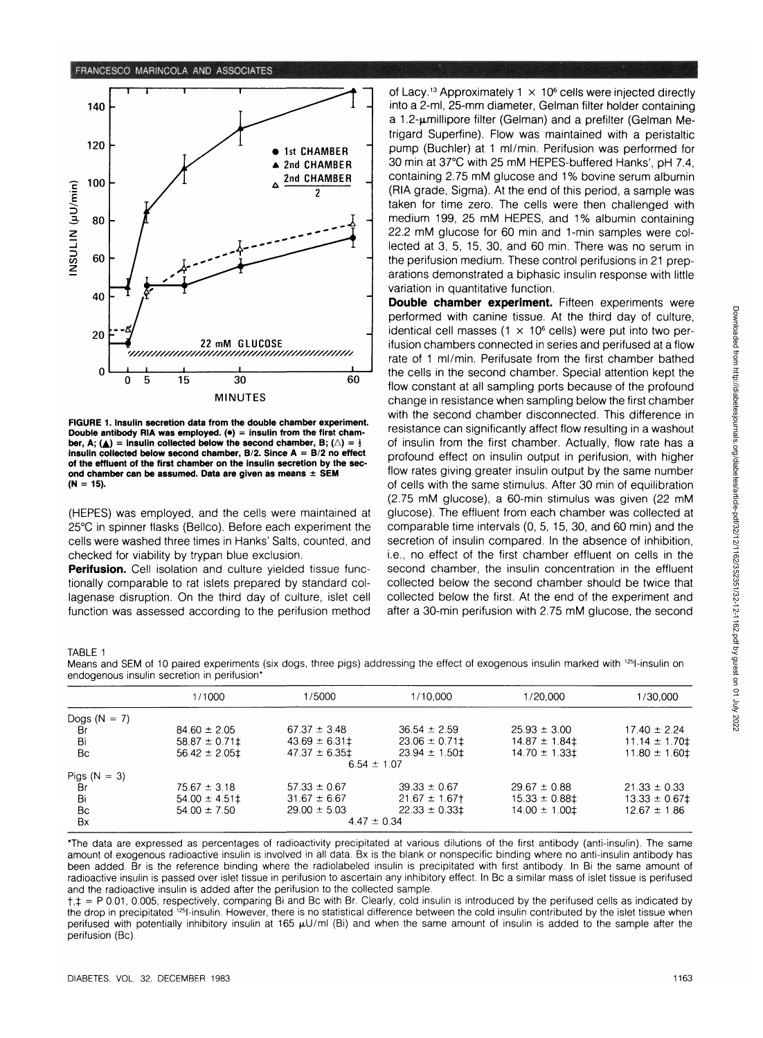

**FIGURE 1. Insulin secretion data from the double chamber experiment. Double antibody RIA was employed. (•) = insulin from the first cham**ber, A; ( $\triangle$ ) = insulin collected below the second chamber, B; ( $\triangle$ ) =  $\frac{1}{2}$ **insulin collected below second chamber, B/2. Since A = B/2 no effect of the effluent of the first chamber on the insulin secretion by the second chamber can be assumed. Data are given as means ± SEM (N = 15).**

(HEPES) was employed, and the cells were maintained at 25°C in spinner flasks (Bellco). Before each experiment the cells were washed three times in Hanks' Salts, counted, and checked for viability by trypan blue exclusion.

**Perifusion.** Cell isolation and culture yielded tissue functionally comparable to rat islets prepared by standard collagenase disruption. On the third day of culture, islet cell function was assessed according to the perifusion method

of Lacy.<sup>13</sup> Approximately 1  $\times$  10<sup>6</sup> cells were injected directly into a 2-ml, 25-mm diameter, Gelman filter holder containing a 1.2-µmillipore filter (Gelman) and a prefilter (Gelman Metrigard Superfine). Flow was maintained with a peristaltic pump (Buchler) at 1 ml/min. Perifusion was performed for 30 min at 37°C with 25 mM HEPES-buffered Hanks', pH 7.4, containing 2.75 mM glucose and 1% bovine serum albumin (RIA grade, Sigma). At the end of this period, a sample was taken for time zero. The cells were then challenged with medium 199, 25 mM HEPES, and 1% albumin containing 22.2 mM glucose for 60 min and 1-min samples were collected at 3, 5, 15, 30, and 60 min. There was no serum in the perifusion medium. These control perifusions in 21 preparations demonstrated a biphasic insulin response with little variation in quantitative function.

**Double chamber experiment.** Fifteen experiments were performed with canine tissue. At the third day of culture, identical cell masses  $(1 \times 10^6 \text{ cells})$  were put into two perifusion chambers connected in series and perifused at a flow rate of 1 ml/min. Perifusate from the first chamber bathed the cells in the second chamber. Special attention kept the flow constant at all sampling ports because of the profound change in resistance when sampling below the first chamber with the second chamber disconnected. This difference in resistance can significantly affect flow resulting in a washout of insulin from the first chamber. Actually, flow rate has a profound effect on insulin output in perifusion, with higher flow rates giving greater insulin output by the same number of cells with the same stimulus. After 30 min of equilibration (2.75 mM glucose), a 60-min stimulus was given (22 mM glucose). The effluent from each chamber was collected at comparable time intervals (0, 5, 15, 30, and 60 min) and the secretion of insulin compared. In the absence of inhibition, i.e., no effect of the first chamber effluent on cells in the second chamber, the insulin concentration in the effluent collected below the second chamber should be twice that collected below the first. At the end of the experiment and after a 30-min perifusion with 2.75 mM glucose, the second

TARLE<sub>1</sub>

Means and SEM of 10 paired experiments (six dogs, three pigs) addressing the effect of exogenous insulin marked with <sup>125</sup>l-insulin on endogenous insulin secretion in perifusion\*

|                | 1/1000           | 1/5000           | 1/10,000                  | 1/20.000               | 1/30.000           |
|----------------|------------------|------------------|---------------------------|------------------------|--------------------|
| Dogs $(N = 7)$ |                  |                  |                           |                        |                    |
| Br             | $84.60 \pm 2.05$ | $67.37 \pm 3.48$ | $36.54 \pm 2.59$          | $25.93 \pm 3.00$       | $17.40 \pm 2.24$   |
| Bi             | $58.87 \pm 0.71$ | $43.69 \pm 6.31$ | $23.06 \pm 0.71$          | $14.87 \pm 1.84$       | $11.14 \pm 1.70$   |
| Bc             | $56.42 \pm 2.05$ | $47.37 \pm 6.35$ | $23.94 \pm 1.50 \pm 1.50$ | $14.70 \pm 1.33$ $\pm$ | $11.80 \pm 1.60$   |
|                |                  |                  | $6.54 \pm 1.07$           |                        |                    |
| Pigs $(N = 3)$ |                  |                  |                           |                        |                    |
| <b>Br</b>      | $75.67 \pm 3.18$ | $57.33 \pm 0.67$ | $39.33 \pm 0.67$          | $29.67 \pm 0.88$       | $21.33 \pm 0.33$   |
| Bi             | $54.00 \pm 4.51$ | $31.67 \pm 6.67$ | $21.67 \pm 1.67$          | $15.33 \pm 0.88$ ‡     | $13.33 \pm 0.67$ ‡ |
| Bc             | $54.00 \pm 7.50$ | $29.00 \pm 5.03$ | $22.33 \pm 0.33$          | $14.00 \pm 1.00$       | $12.67 \pm 1.86$   |
| Bx             | $4.47 \pm 0.34$  |                  |                           |                        |                    |

\*The data are expressed as percentages of radioactivity precipitated at various dilutions of the first antibody (anti-insulin). The same amount of exogenous radioactive insulin is involved in all data. Bx is the blank or nonspecific binding where no anti-insulin antibody has been added. Br is the reference binding where the radiolabeled insulin is precipitated with first antibody. In Bi the same amount of radioactive insulin is passed over islet tissue in perifusion to ascertain any inhibitory effect. In Be a similar mass of islet tissue is perifused and the radioactive insulin is added after the perifusion to the collected sample.

 $t,t = P 0.01$ , 0.005, respectively, comparing Bi and Bc with Br. Clearly, cold insulin is introduced by the perifused cells as indicated by the drop in precipitated <sup>125</sup>l-insulin. However, there is no statistical difference between the cold insulin contributed by the islet tissue when perifused with potentially inhibitory insulin at 165  $\mu$ U/ml (Bi) and when the same amount of insulin is added to the sample after the perifusion (Bc).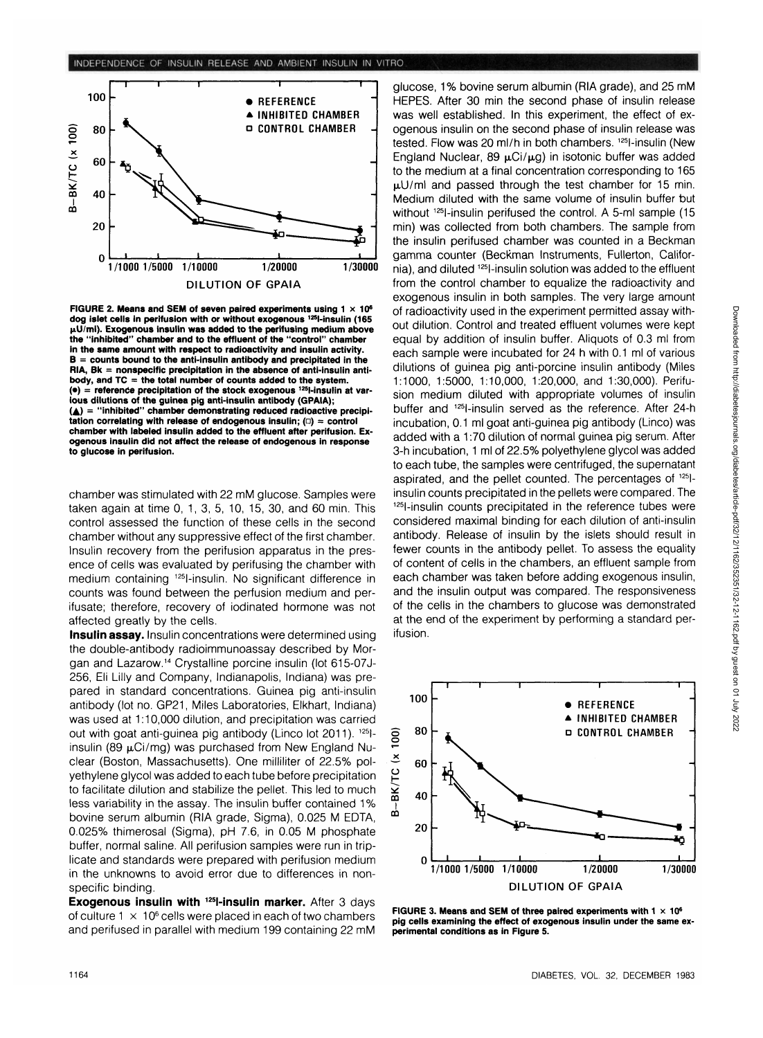

**FIGURE 2. Means and SEM of seven paired experiments using 1 x 10<sup>6</sup> dog islet cells in perifusion with or without exogenous 12Sl-insulin (165 jiU/ml). Exogenous insulin was added to the perifusing medium above the "inhibited" chamber and to the effluent of the "control" chamber in the same amount with respect to radioactivity and insulin activity. B = counts bound to the anti-insulin antibody and precipitated in the RIA, Bk = nonspecific precipitation in the absence of anti-insulin antibody, and TC = the total number of counts added to the system.** ( $\bullet$ ) = reference precipitation of the stock exogenous <sup>125</sup>l-insulin at var**ious dilutions of the guinea pig anti-insulin antibody (GPAIA); (A) = "inhibited" chamber demonstrating reduced radioactive precipitation correlating with release of endogenous insulin; (a) = control chamber with labeled insulin added to the effluent after perifusion. Exogenous insulin did not affect the release of endogenous in response to glucose in perifusion.**

chamber was stimulated with 22 mM glucose. Samples were taken again at time 0, 1,3, 5, 10, 15, 30, and 60 min. This control assessed the function of these cells in the second chamber without any suppressive effect of the first chamber. Insulin recovery from the perifusion apparatus in the presence of cells was evaluated by perifusing the chamber with medium containing 125l-insulin. No significant difference in counts was found between the perfusion medium and perifusate; therefore, recovery of iodinated hormone was not affected greatly by the cells.

**Insulin assay.** Insulin concentrations were determined using the double-antibody radioimmunoassay described by Morgan and Lazarow.14 Crystalline porcine insulin (lot 615-07J-256, Eli Lilly and Company, Indianapolis, Indiana) was prepared in standard concentrations. Guinea pig anti-insulin antibody (lot no. GP21, Miles Laboratories, Elkhart, Indiana) was used at 1:10,000 dilution, and precipitation was carried out with goat anti-guinea pig antibody (Linco lot 2011). <sup>125</sup>linsulin (89  $\mu$ Ci/mg) was purchased from New England Nuclear (Boston, Massachusetts). One milliliter of 22.5% polyethylene glycol was added to each tube before precipitation to facilitate dilution and stabilize the pellet. This led to much less variability in the assay. The insulin buffer contained 1% bovine serum albumin (RIA grade, Sigma), 0.025 M EDTA, 0.025% thimerosal (Sigma), pH 7.6, in 0.05 M phosphate buffer, normal saline. All perifusion samples were run in triplicate and standards were prepared with perifusion medium in the unknowns to avoid error due to differences in nonspecific binding.

**Exogenous insulin with 125l-insulin marker.** After 3 days of culture  $1 \times 10^6$  cells were placed in each of two chambers and perifused in parallel with medium 199 containing 22 mM glucose, 1% bovine serum albumin (RIA grade), and 25 mM HEPES. After 30 min the second phase of insulin release was well established. In this experiment, the effect of exogenous insulin on the second phase of insulin release was tested. Flow was 20 ml/h in both chambers. <sup>125</sup>l-insulin (New England Nuclear, 89  $\mu$ Ci/ $\mu$ g) in isotonic buffer was added to the medium at a final concentration corresponding to 165  $\mu$ U/ml and passed through the test chamber for 15 min. Medium diluted with the same volume of insulin buffer but without <sup>125</sup>l-insulin perifused the control. A 5-ml sample (15 min) was collected from both chambers. The sample from the insulin perifused chamber was counted in a Beckman gamma counter (Beckman Instruments, Fullerton, California), and diluted 125l-insulin solution was added to the effluent from the control chamber to equalize the radioactivity and exogenous insulin in both samples. The very large amount of radioactivity used in the experiment permitted assay without dilution. Control and treated effluent volumes were kept equal by addition of insulin buffer. Aliquots of 0.3 ml from each sample were incubated for 24 h with 0.1 ml of various dilutions of guinea pig anti-porcine insulin antibody (Miles 1:1000, 1:5000, 1:10,000, 1:20,000, and 1:30,000). Perifusion medium diluted with appropriate volumes of insulin buffer and 125l-insulin served as the reference. After 24-h incubation, 0.1 ml goat anti-guinea pig antibody (Linco) was added with a 1:70 dilution of normal guinea pig serum. After 3-h incubation, 1 ml of 22.5% polyethylene glycol was added to each tube, the samples were centrifuged, the supernatant aspirated, and the pellet counted. The percentages of 125Iinsulin counts precipitated in the pellets were compared. The 1251-insulin counts precipitated in the reference tubes were considered maximal binding for each dilution of anti-insulin antibody. Release of insulin by the islets should result in fewer counts in the antibody pellet. To assess the equality of content of cells in the chambers, an effluent sample from each chamber was taken before adding exogenous insulin, and the insulin output was compared. The responsiveness and the insulin output was compared. The responsiveness of the cells in the chambers to glucose was demonstrated at the end of the experiment by performing a standard per-<br>ifusion.



**FIGURE 3. Means and SEM of three paired experiments with 1 x 106 pig cells examining the effect of exogenous insulin under the same experimental conditions as in Figure 5.**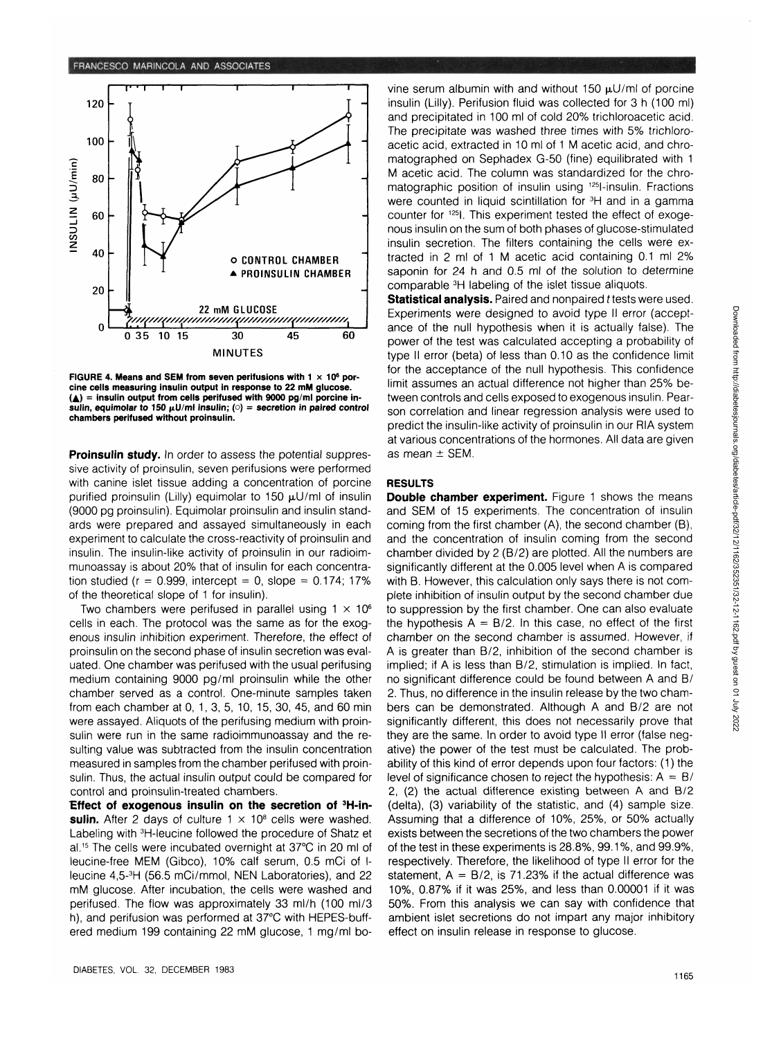

FIGURE 4. Means and SEM from seven perifusions with 1  $\times$  10<sup>6</sup> por**cine cells measuring insulin output in response to 22 mM glucose. (A) = insulin output from cells perifused with 9000 pg/ml porcine in**sulin, equimolar to 150  $\mu$ U/ml insulin; ( $\circ$ ) = secretion in paired control **chambers perifused without proinsulin.**

**Proinsulin study.** In order to assess the potential suppressive activity of proinsulin, seven perifusions were performed with canine islet tissue adding a concentration of porcine purified proinsulin (Lilly) equimolar to 150  $\mu$ U/ml of insulin (9000 pg proinsulin). Equimolar proinsulin and insulin standards were prepared and assayed simultaneously in each experiment to calculate the cross-reactivity of proinsulin and insulin. The insulin-like activity of proinsulin in our radioimmunoassay is about 20% that of insulin for each concentration studied ( $r = 0.999$ , intercept = 0, slope = 0.174; 17% of the theoretical slope of 1 for insulin).

Two chambers were perifused in parallel using  $1 \times 10^6$ cells in each. The protocol was the same as for the exogenous insulin inhibition experiment. Therefore, the effect of proinsulin on the second phase of insulin secretion was evaluated. One chamber was perifused with the usual perifusing medium containing 9000 pg/ml proinsulin while the other chamber served as a control. One-minute samples taken from each chamber at 0, 1, 3, 5, 10, 15, 30, 45, and 60 min were assayed. Aliquots of the perifusing medium with proinsulin were run in the same radioimmunoassay and the resulting value was subtracted from the insulin concentration measured in samples from the chamber perifused with proinsulin. Thus, the actual insulin output could be compared for control and proinsulin-treated chambers.

Effect of exogenous insulin on the secretion of <sup>3</sup>H-insulin. After 2 days of culture 1  $\times$  10<sup>8</sup> cells were washed. Labeling with 3H-leucine followed the procedure of Shatz et al.15 The cells were incubated overnight at 37°C in 20 ml of leucine-free MEM (Gibco), 10% calf serum, 0.5 mCi of Ileucine 4,5-3 H (56.5 mCi/mmol, NEN Laboratories), and 22 mM glucose. After incubation, the cells were washed and perifused. The flow was approximately 33 ml/h (100 ml/3 h), and perifusion was performed at 37°C with HEPES-buffered medium 199 containing 22 mM glucose, 1 mg/ml bovine serum albumin with and without 150  $\mu$ U/ml of porcine insulin (Lilly). Perifusion fluid was collected for 3 h (100 ml) and precipitated in 100 ml of cold 20% trichloroacetic acid. The precipitate was washed three times with 5% trichloroacetic acid, extracted in 10 ml of 1 M acetic acid, and chromatographed on Sephadex G-50 (fine) equilibrated with 1 M acetic acid. The column was standardized for the chromatographic position of insulin using 125l-insulin. Fractions were counted in liquid scintillation for <sup>3</sup>H and in a gamma counter for 125I. This experiment tested the effect of exogenous insulin on the sum of both phases of glucose-stimulated insulin secretion. The filters containing the cells were extracted in 2 ml of 1 M acetic acid containing 0.1 ml 2% saponin for 24 h and 0.5 ml of the solution to determine comparable 3H labeling of the islet tissue aliquots.

**Statistical analysis.** Paired and nonpaired t tests were used. Experiments were designed to avoid type II error (acceptance of the null hypothesis when it is actually false). The power of the test was calculated accepting a probability of type II error (beta) of less than 0.10 as the confidence limit for the acceptance of the null hypothesis. This confidence limit assumes an actual difference not higher than 25% between controls and cells exposed to exogenous insulin. Pearson correlation and linear regression analysis were used to predict the insulin-like activity of proinsulin in our RIA system at various concentrations of the hormones. All data are given as mean  $\pm$  SEM.

## **RESULTS**

**Double chamber experiment.** Figure 1 shows the means and SEM of 15 experiments. The concentration of insulin coming from the first chamber (A), the second chamber (B), and the concentration of insulin coming from the second chamber divided by 2 (B/2) are plotted. All the numbers are significantly different at the 0.005 level when A is compared with B. However, this calculation only says there is not complete inhibition of insulin output by the second chamber due to suppression by the first chamber. One can also evaluate the hypothesis  $A = B/2$ . In this case, no effect of the first chamber on the second chamber is assumed. However, if A is greater than B/2, inhibition of the second chamber is implied; if A is less than B/2, stimulation is implied. In fact, no significant difference could be found between A and B/ 2. Thus, no difference in the insulin release by the two chambers can be demonstrated. Although A and B/2 are not significantly different, this does not necessarily prove that they are the same. In order to avoid type II error (false negative) the power of the test must be calculated. The probability of this kind of error depends upon four factors: (1) the level of significance chosen to reject the hypothesis:  $A = B/$ 2, (2) the actual difference existing between A and B/2 (delta), (3) variability of the statistic, and (4) sample size. Assuming that a difference of 10%, 25%, or 50% actually exists between the secretions of the two chambers the power of the test in these experiments is 28.8%, 99.1%, and 99.9%, respectively. Therefore, the likelihood of type II error for the statement,  $A = B/2$ , is 71.23% if the actual difference was 10%, 0.87% if it was 25%, and less than 0.00001 if it was 50%. From this analysis we can say with confidence that ambient islet secretions do not impart any major inhibitory effect on insulin release in response to glucose.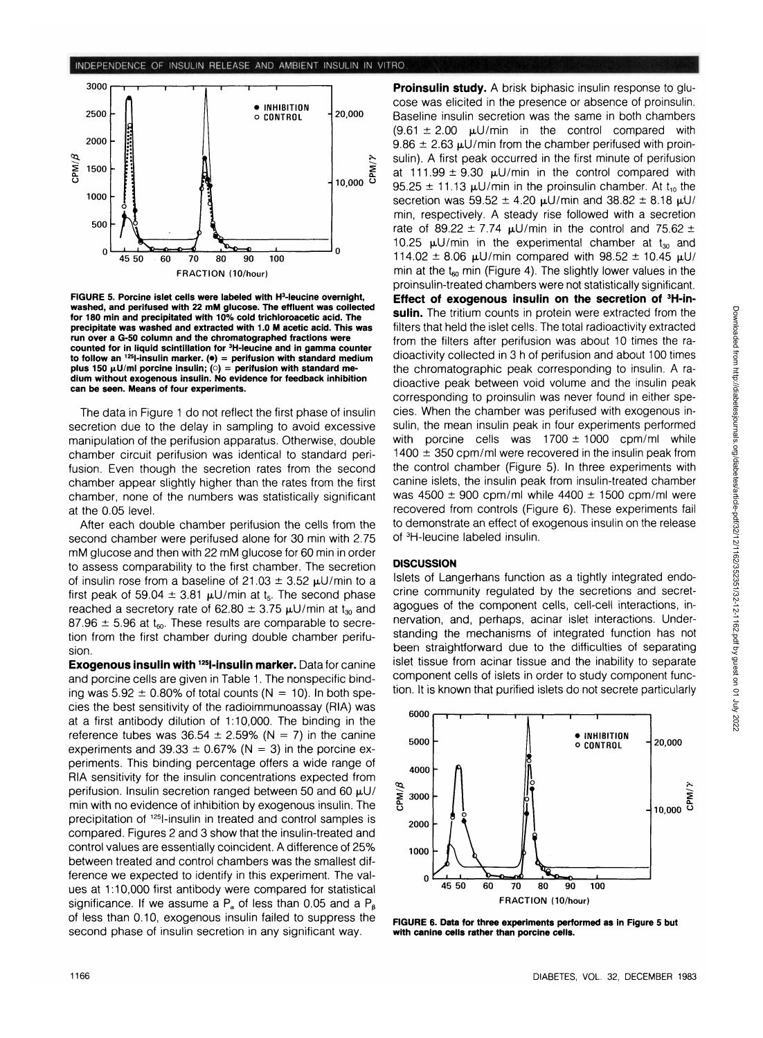

FIGURE 5. Porcine islet cells were labeled with H<sup>3</sup>-leucine overnight, washed, and perifused with 22 mM glucose. The effluent was collected<br>for 180 min and precipitated with 10% cold trichloroacetic acid. The precipitate was washed and extracted with 1.0 M acetic acid. This was<br>run over a G-50 column and the chromatographed fractions were counted for in liquid scintillation for <sup>3</sup>H-leucine and in gamma counter  $\frac{3}{100}$  and  $\frac{1251}{100}$  finsulin marker. ( $\bullet$ ) = perifusion with standard medium bius 150  $\mu$ U/m porcine insulin; (c) = perifusion with standard me-<br>dium without exogenous insulin. No evidence for feedback inhibition<br>can be seen. Means of four experiments.

The data in Figure 1 do not reflect the first phase of insulin secretion due to the delay in sampling to avoid excessive manipulation of the perifusion apparatus. Otherwise, double chamber circuit perifusion was identical to standard perifusion. Even though the secretion rates from the second chamber appear slightly higher than the rates from the first chamber, none of the numbers was statistically significant at the 0.05 level.

After each double chamber perifusion the cells from the second chamber were perifused alone for 30 min with 2.75 mM glucose and then with 22 mM glucose for 60 min in order to assess comparability to the first chamber. The secretion of insulin rose from a baseline of  $21.03 \pm 3.52$   $\mu$ U/min to a first peak of 59.04  $\pm$  3.81  $\mu$ U/min at t<sub>5</sub>. The second phase reached a secretory rate of 62.80  $\pm$  3.75  $\mu$ U/min at t<sub>30</sub> and 87.96  $\pm$  5.96 at t<sub>60</sub>. These results are comparable to secretion from the first chamber during double chamber perifusion.

**Exogenous insulin with 125l-insulin marker.** Data for canine and porcine cells are given in Table 1. The nonspecific binding was  $5.92 \pm 0.80\%$  of total counts (N = 10). In both species the best sensitivity of the radioimmunoassay (RIA) was at a first antibody dilution of 1:10,000. The binding in the reference tubes was  $36.54 \pm 2.59\%$  (N = 7) in the canine experiments and 39.33  $\pm$  0.67% (N = 3) in the porcine experiments. This binding percentage offers a wide range of RIA sensitivity for the insulin concentrations expected from perifusion. Insulin secretion ranged between 50 and 60  $\mu$ U/ min with no evidence of inhibition by exogenous insulin. The precipitation of 125l-insulin in treated and control samples is compared. Figures 2 and 3 show that the insulin-treated and control values are essentially coincident. A difference of 25% between treated and control chambers was the smallest difference we expected to identify in this experiment. The values at 1:10,000 first antibody were compared for statistical significance. If we assume a  $P_a$  of less than 0.05 and a  $P_b$ of less than 0.10, exogenous insulin failed to suppress the second phase of insulin secretion in any significant way.

**Proinsulin study.** A brisk biphasic insulin response to glucose was elicited in the presence or absence of proinsulin. Baseline insulin secretion was the same in both chambers  $(9.61 \pm 2.00 \text{ }\mu\text{U/min}$  in the control compared with  $9.86 \pm 2.63$   $\mu$ U/min from the chamber perifused with proinsulin). A first peak occurred in the first minute of perifusion at 111.99  $\pm$  9.30  $\mu$ U/min in the control compared with 95.25  $\pm$  11.13  $\mu$ U/min in the proinsulin chamber. At t<sub>10</sub> the secretion was  $59.52 \pm 4.20 \mu U/min$  and  $38.82 \pm 8.18 \mu U/m$ min, respectively. A steady rise followed with a secretion rate of 89.22  $\pm$  7.74  $\mu$ U/min in the control and 75.62  $\pm$ 10.25  $\mu$ U/min in the experimental chamber at t<sub>30</sub> and 114.02  $\pm$  8.06 µU/min compared with 98.52  $\pm$  10.45 µU/ min at the  $t_{60}$  min (Figure 4). The slightly lower values in the proinsulin-treated chambers were not statistically significant. **Effect of exogenous insulin on the secretion of 3H-insulin.** The tritium counts in protein were extracted from the filters that held the islet cells. The total radioactivity extracted from the filters after perifusion was about 10 times the radioactivity collected in 3 h of perifusion and about 100 times the chromatographic peak corresponding to insulin. A radioactive peak between void volume and the insulin peak corresponding to proinsulin was never found in either species. When the chamber was perifused with exogenous insulin, the mean insulin peak in four experiments performed with porcine cells was  $1700 \pm 1000$  cpm/ml while  $1400 \pm 350$  cpm/ml were recovered in the insulin peak from the control chamber (Figure 5). In three experiments with canine islets, the insulin peak from insulin-treated chamber was  $4500 \pm 900$  cpm/ml while  $4400 \pm 1500$  cpm/ml were recovered from controls (Figure 6). These experiments fail to demonstrate an effect of exogenous insulin on the release of <sup>3</sup>H-leucine labeled insulin.

#### **DISCUSSION**

Islets of Langerhans function as a tightly integrated endocrine community regulated by the secretions and secretagogues of the component cells, cell-cell interactions, innervation, and, perhaps, acinar islet interactions. Understanding the mechanisms of integrated function has not been straightforward due to the difficulties of separating islet tissue from acinar tissue and the inability to separate component cells of islets in order to study component function. It is known that purified islets do not secrete particularly



**FIGURE 6. Data for three experiments performed** as in Figure 5 but with canine cells rather than porcine cells.